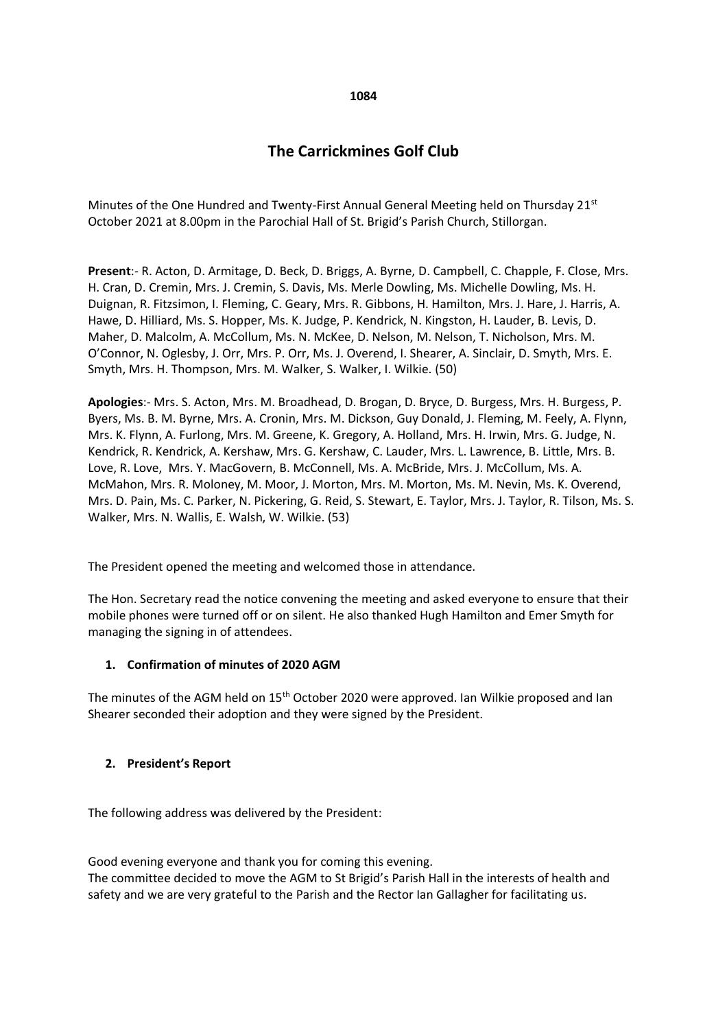# **The Carrickmines Golf Club**

Minutes of the One Hundred and Twenty-First Annual General Meeting held on Thursday 21<sup>st</sup> October 2021 at 8.00pm in the Parochial Hall of St. Brigid's Parish Church, Stillorgan.

**Present**:- R. Acton, D. Armitage, D. Beck, D. Briggs, A. Byrne, D. Campbell, C. Chapple, F. Close, Mrs. H. Cran, D. Cremin, Mrs. J. Cremin, S. Davis, Ms. Merle Dowling, Ms. Michelle Dowling, Ms. H. Duignan, R. Fitzsimon, I. Fleming, C. Geary, Mrs. R. Gibbons, H. Hamilton, Mrs. J. Hare, J. Harris, A. Hawe, D. Hilliard, Ms. S. Hopper, Ms. K. Judge, P. Kendrick, N. Kingston, H. Lauder, B. Levis, D. Maher, D. Malcolm, A. McCollum, Ms. N. McKee, D. Nelson, M. Nelson, T. Nicholson, Mrs. M. O'Connor, N. Oglesby, J. Orr, Mrs. P. Orr, Ms. J. Overend, I. Shearer, A. Sinclair, D. Smyth, Mrs. E. Smyth, Mrs. H. Thompson, Mrs. M. Walker, S. Walker, I. Wilkie. (50)

**Apologies**:- Mrs. S. Acton, Mrs. M. Broadhead, D. Brogan, D. Bryce, D. Burgess, Mrs. H. Burgess, P. Byers, Ms. B. M. Byrne, Mrs. A. Cronin, Mrs. M. Dickson, Guy Donald, J. Fleming, M. Feely, A. Flynn, Mrs. K. Flynn, A. Furlong, Mrs. M. Greene, K. Gregory, A. Holland, Mrs. H. Irwin, Mrs. G. Judge, N. Kendrick, R. Kendrick, A. Kershaw, Mrs. G. Kershaw, C. Lauder, Mrs. L. Lawrence, B. Little, Mrs. B. Love, R. Love, Mrs. Y. MacGovern, B. McConnell, Ms. A. McBride, Mrs. J. McCollum, Ms. A. McMahon, Mrs. R. Moloney, M. Moor, J. Morton, Mrs. M. Morton, Ms. M. Nevin, Ms. K. Overend, Mrs. D. Pain, Ms. C. Parker, N. Pickering, G. Reid, S. Stewart, E. Taylor, Mrs. J. Taylor, R. Tilson, Ms. S. Walker, Mrs. N. Wallis, E. Walsh, W. Wilkie. (53)

The President opened the meeting and welcomed those in attendance.

The Hon. Secretary read the notice convening the meeting and asked everyone to ensure that their mobile phones were turned off or on silent. He also thanked Hugh Hamilton and Emer Smyth for managing the signing in of attendees.

# **1. Confirmation of minutes of 2020 AGM**

The minutes of the AGM held on 15<sup>th</sup> October 2020 were approved. Ian Wilkie proposed and Ian Shearer seconded their adoption and they were signed by the President.

#### **2. President's Report**

The following address was delivered by the President:

Good evening everyone and thank you for coming this evening. The committee decided to move the AGM to St Brigid's Parish Hall in the interests of health and safety and we are very grateful to the Parish and the Rector Ian Gallagher for facilitating us.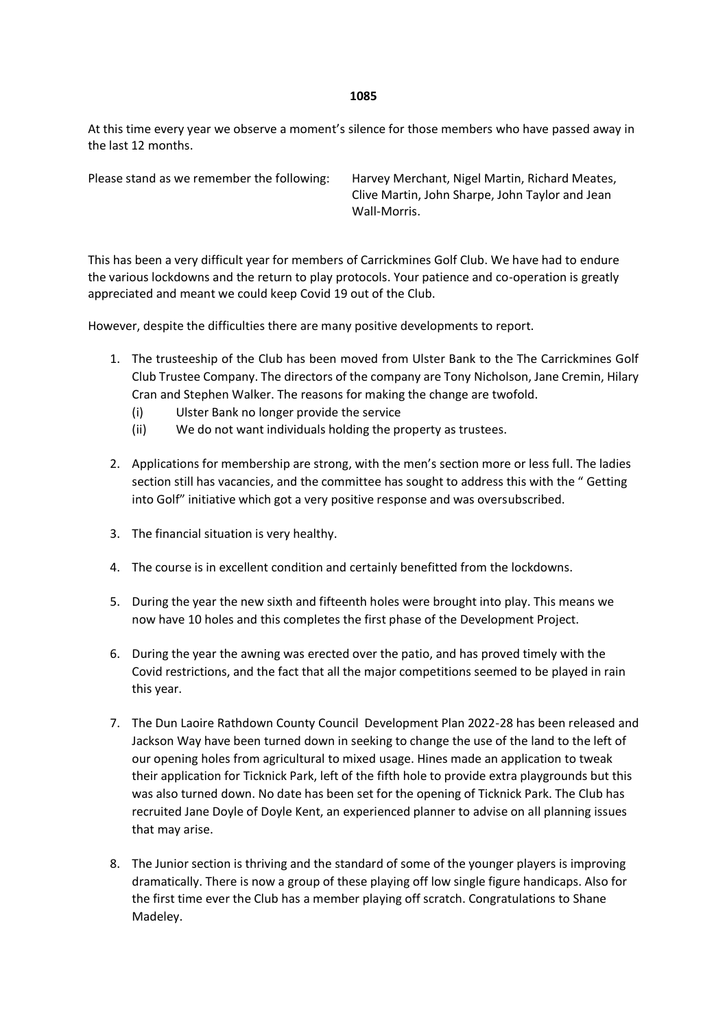At this time every year we observe a moment's silence for those members who have passed away in the last 12 months.

Please stand as we remember the following: Harvey Merchant, Nigel Martin, Richard Meates, Clive Martin, John Sharpe, John Taylor and Jean Wall-Morris.

This has been a very difficult year for members of Carrickmines Golf Club. We have had to endure the various lockdowns and the return to play protocols. Your patience and co-operation is greatly appreciated and meant we could keep Covid 19 out of the Club.

However, despite the difficulties there are many positive developments to report.

- 1. The trusteeship of the Club has been moved from Ulster Bank to the The Carrickmines Golf Club Trustee Company. The directors of the company are Tony Nicholson, Jane Cremin, Hilary Cran and Stephen Walker. The reasons for making the change are twofold.
	- (i) Ulster Bank no longer provide the service
	- (ii) We do not want individuals holding the property as trustees.
- 2. Applications for membership are strong, with the men's section more or less full. The ladies section still has vacancies, and the committee has sought to address this with the " Getting into Golf" initiative which got a very positive response and was oversubscribed.
- 3. The financial situation is very healthy.
- 4. The course is in excellent condition and certainly benefitted from the lockdowns.
- 5. During the year the new sixth and fifteenth holes were brought into play. This means we now have 10 holes and this completes the first phase of the Development Project.
- 6. During the year the awning was erected over the patio, and has proved timely with the Covid restrictions, and the fact that all the major competitions seemed to be played in rain this year.
- 7. The Dun Laoire Rathdown County Council Development Plan 2022-28 has been released and Jackson Way have been turned down in seeking to change the use of the land to the left of our opening holes from agricultural to mixed usage. Hines made an application to tweak their application for Ticknick Park, left of the fifth hole to provide extra playgrounds but this was also turned down. No date has been set for the opening of Ticknick Park. The Club has recruited Jane Doyle of Doyle Kent, an experienced planner to advise on all planning issues that may arise.
- 8. The Junior section is thriving and the standard of some of the younger players is improving dramatically. There is now a group of these playing off low single figure handicaps. Also for the first time ever the Club has a member playing off scratch. Congratulations to Shane Madeley.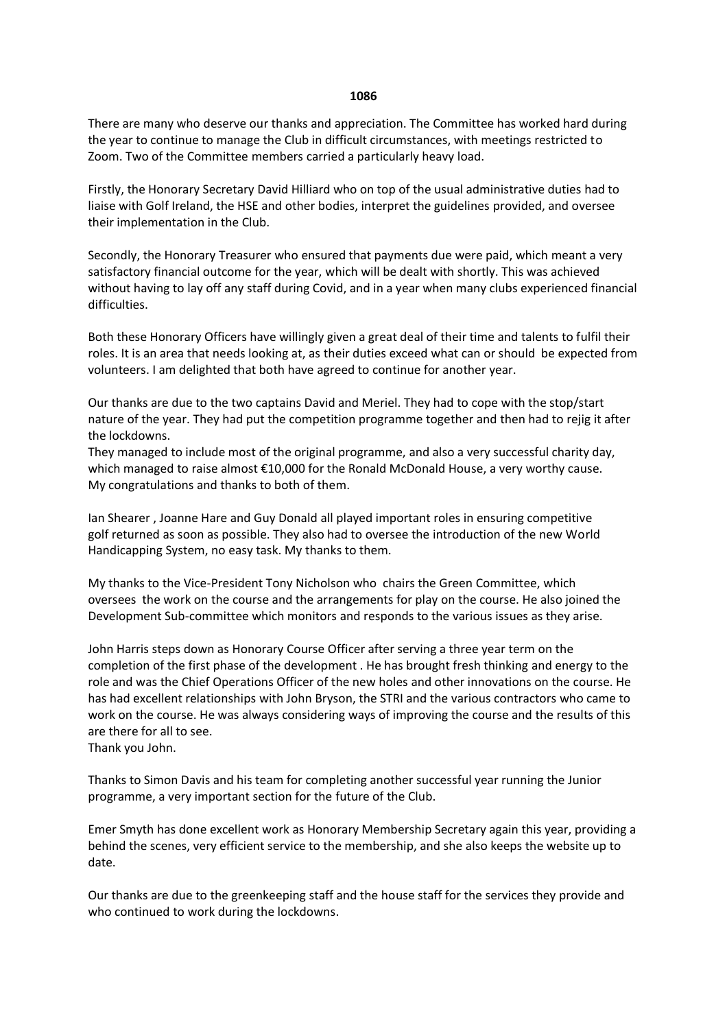There are many who deserve our thanks and appreciation. The Committee has worked hard during the year to continue to manage the Club in difficult circumstances, with meetings restricted to Zoom. Two of the Committee members carried a particularly heavy load.

Firstly, the Honorary Secretary David Hilliard who on top of the usual administrative duties had to liaise with Golf Ireland, the HSE and other bodies, interpret the guidelines provided, and oversee their implementation in the Club.

Secondly, the Honorary Treasurer who ensured that payments due were paid, which meant a very satisfactory financial outcome for the year, which will be dealt with shortly. This was achieved without having to lay off any staff during Covid, and in a year when many clubs experienced financial difficulties.

Both these Honorary Officers have willingly given a great deal of their time and talents to fulfil their roles. It is an area that needs looking at, as their duties exceed what can or should be expected from volunteers. I am delighted that both have agreed to continue for another year.

Our thanks are due to the two captains David and Meriel. They had to cope with the stop/start nature of the year. They had put the competition programme together and then had to rejig it after the lockdowns.

They managed to include most of the original programme, and also a very successful charity day, which managed to raise almost €10,000 for the Ronald McDonald House, a very worthy cause. My congratulations and thanks to both of them.

Ian Shearer , Joanne Hare and Guy Donald all played important roles in ensuring competitive golf returned as soon as possible. They also had to oversee the introduction of the new World Handicapping System, no easy task. My thanks to them.

My thanks to the Vice-President Tony Nicholson who chairs the Green Committee, which oversees the work on the course and the arrangements for play on the course. He also joined the Development Sub-committee which monitors and responds to the various issues as they arise.

John Harris steps down as Honorary Course Officer after serving a three year term on the completion of the first phase of the development . He has brought fresh thinking and energy to the role and was the Chief Operations Officer of the new holes and other innovations on the course. He has had excellent relationships with John Bryson, the STRI and the various contractors who came to work on the course. He was always considering ways of improving the course and the results of this are there for all to see.

Thank you John.

Thanks to Simon Davis and his team for completing another successful year running the Junior programme, a very important section for the future of the Club.

Emer Smyth has done excellent work as Honorary Membership Secretary again this year, providing a behind the scenes, very efficient service to the membership, and she also keeps the website up to date.

Our thanks are due to the greenkeeping staff and the house staff for the services they provide and who continued to work during the lockdowns.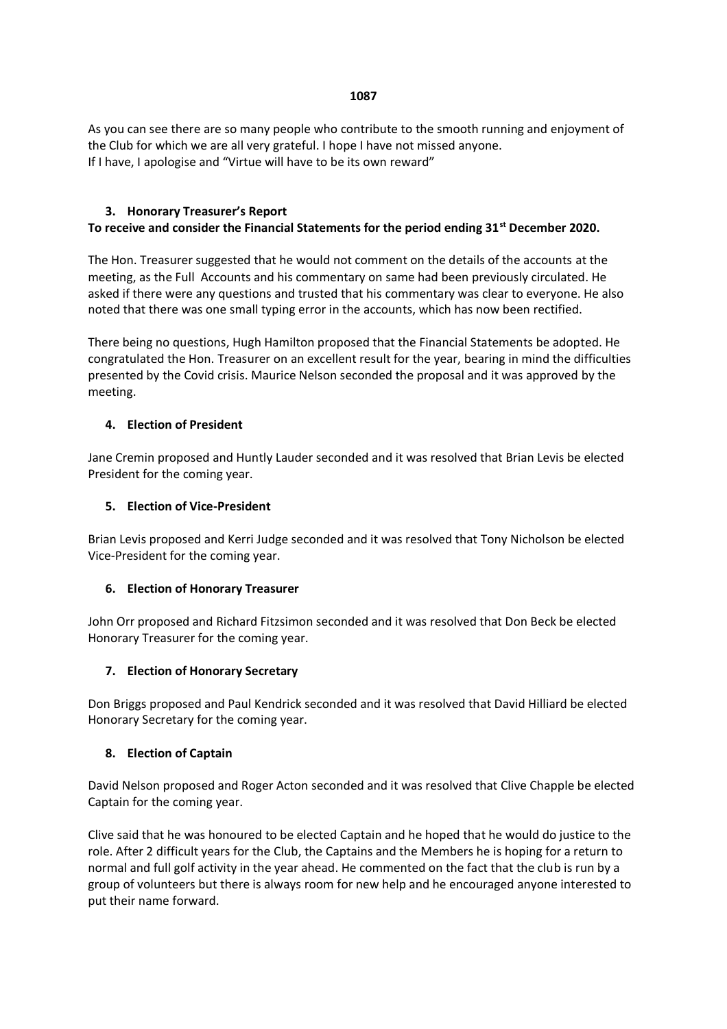As you can see there are so many people who contribute to the smooth running and enjoyment of the Club for which we are all very grateful. I hope I have not missed anyone. If I have, I apologise and "Virtue will have to be its own reward"

# **3. Honorary Treasurer's Report**

# **To receive and consider the Financial Statements for the period ending 31st December 2020.**

The Hon. Treasurer suggested that he would not comment on the details of the accounts at the meeting, as the Full Accounts and his commentary on same had been previously circulated. He asked if there were any questions and trusted that his commentary was clear to everyone. He also noted that there was one small typing error in the accounts, which has now been rectified.

There being no questions, Hugh Hamilton proposed that the Financial Statements be adopted. He congratulated the Hon. Treasurer on an excellent result for the year, bearing in mind the difficulties presented by the Covid crisis. Maurice Nelson seconded the proposal and it was approved by the meeting.

# **4. Election of President**

Jane Cremin proposed and Huntly Lauder seconded and it was resolved that Brian Levis be elected President for the coming year.

### **5. Election of Vice-President**

Brian Levis proposed and Kerri Judge seconded and it was resolved that Tony Nicholson be elected Vice-President for the coming year.

# **6. Election of Honorary Treasurer**

John Orr proposed and Richard Fitzsimon seconded and it was resolved that Don Beck be elected Honorary Treasurer for the coming year.

# **7. Election of Honorary Secretary**

Don Briggs proposed and Paul Kendrick seconded and it was resolved that David Hilliard be elected Honorary Secretary for the coming year.

# **8. Election of Captain**

David Nelson proposed and Roger Acton seconded and it was resolved that Clive Chapple be elected Captain for the coming year.

Clive said that he was honoured to be elected Captain and he hoped that he would do justice to the role. After 2 difficult years for the Club, the Captains and the Members he is hoping for a return to normal and full golf activity in the year ahead. He commented on the fact that the club is run by a group of volunteers but there is always room for new help and he encouraged anyone interested to put their name forward.

#### **1087**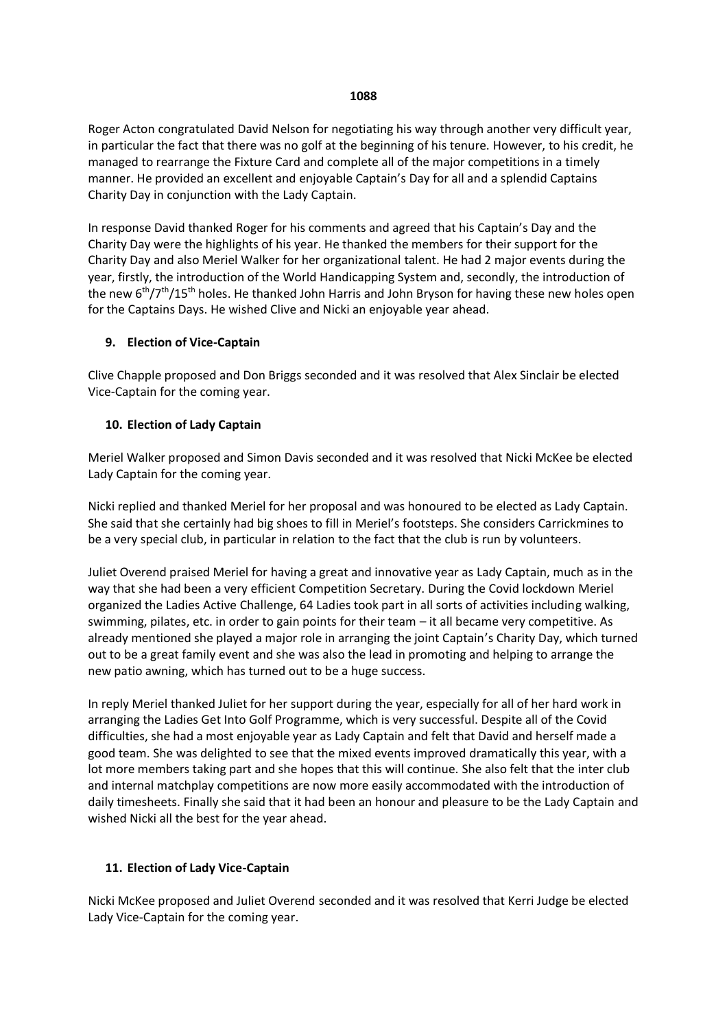Roger Acton congratulated David Nelson for negotiating his way through another very difficult year, in particular the fact that there was no golf at the beginning of his tenure. However, to his credit, he managed to rearrange the Fixture Card and complete all of the major competitions in a timely manner. He provided an excellent and enjoyable Captain's Day for all and a splendid Captains Charity Day in conjunction with the Lady Captain.

In response David thanked Roger for his comments and agreed that his Captain's Day and the Charity Day were the highlights of his year. He thanked the members for their support for the Charity Day and also Meriel Walker for her organizational talent. He had 2 major events during the year, firstly, the introduction of the World Handicapping System and, secondly, the introduction of the new 6<sup>th</sup>/7<sup>th</sup>/15<sup>th</sup> holes. He thanked John Harris and John Bryson for having these new holes open for the Captains Days. He wished Clive and Nicki an enjoyable year ahead.

# **9. Election of Vice-Captain**

Clive Chapple proposed and Don Briggs seconded and it was resolved that Alex Sinclair be elected Vice-Captain for the coming year.

# **10. Election of Lady Captain**

Meriel Walker proposed and Simon Davis seconded and it was resolved that Nicki McKee be elected Lady Captain for the coming year.

Nicki replied and thanked Meriel for her proposal and was honoured to be elected as Lady Captain. She said that she certainly had big shoes to fill in Meriel's footsteps. She considers Carrickmines to be a very special club, in particular in relation to the fact that the club is run by volunteers.

Juliet Overend praised Meriel for having a great and innovative year as Lady Captain, much as in the way that she had been a very efficient Competition Secretary. During the Covid lockdown Meriel organized the Ladies Active Challenge, 64 Ladies took part in all sorts of activities including walking, swimming, pilates, etc. in order to gain points for their team – it all became very competitive. As already mentioned she played a major role in arranging the joint Captain's Charity Day, which turned out to be a great family event and she was also the lead in promoting and helping to arrange the new patio awning, which has turned out to be a huge success.

In reply Meriel thanked Juliet for her support during the year, especially for all of her hard work in arranging the Ladies Get Into Golf Programme, which is very successful. Despite all of the Covid difficulties, she had a most enjoyable year as Lady Captain and felt that David and herself made a good team. She was delighted to see that the mixed events improved dramatically this year, with a lot more members taking part and she hopes that this will continue. She also felt that the inter club and internal matchplay competitions are now more easily accommodated with the introduction of daily timesheets. Finally she said that it had been an honour and pleasure to be the Lady Captain and wished Nicki all the best for the year ahead.

# **11. Election of Lady Vice-Captain**

Nicki McKee proposed and Juliet Overend seconded and it was resolved that Kerri Judge be elected Lady Vice-Captain for the coming year.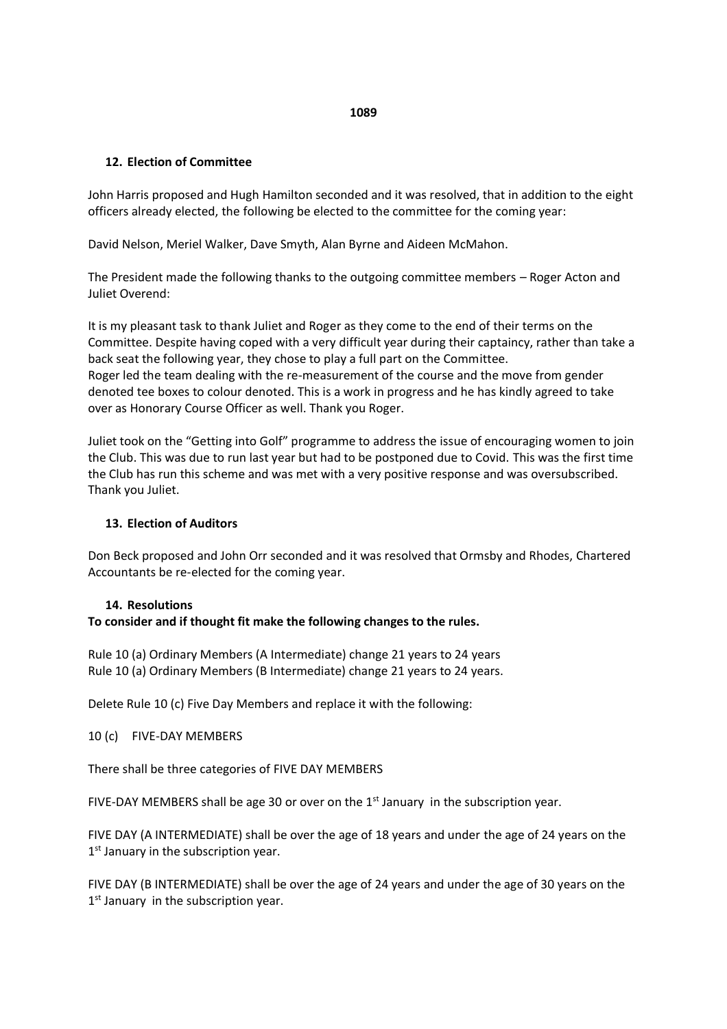# **12. Election of Committee**

John Harris proposed and Hugh Hamilton seconded and it was resolved, that in addition to the eight officers already elected, the following be elected to the committee for the coming year:

David Nelson, Meriel Walker, Dave Smyth, Alan Byrne and Aideen McMahon.

The President made the following thanks to the outgoing committee members – Roger Acton and Juliet Overend:

It is my pleasant task to thank Juliet and Roger as they come to the end of their terms on the Committee. Despite having coped with a very difficult year during their captaincy, rather than take a back seat the following year, they chose to play a full part on the Committee. Roger led the team dealing with the re-measurement of the course and the move from gender denoted tee boxes to colour denoted. This is a work in progress and he has kindly agreed to take over as Honorary Course Officer as well. Thank you Roger.

Juliet took on the "Getting into Golf" programme to address the issue of encouraging women to join the Club. This was due to run last year but had to be postponed due to Covid. This was the first time the Club has run this scheme and was met with a very positive response and was oversubscribed. Thank you Juliet.

# **13. Election of Auditors**

Don Beck proposed and John Orr seconded and it was resolved that Ormsby and Rhodes, Chartered Accountants be re-elected for the coming year.

# **14. Resolutions**

# **To consider and if thought fit make the following changes to the rules.**

Rule 10 (a) Ordinary Members (A Intermediate) change 21 years to 24 years Rule 10 (a) Ordinary Members (B Intermediate) change 21 years to 24 years.

Delete Rule 10 (c) Five Day Members and replace it with the following:

10 (c) FIVE-DAY MEMBERS

There shall be three categories of FIVE DAY MEMBERS

FIVE-DAY MEMBERS shall be age 30 or over on the  $1<sup>st</sup>$  January in the subscription year.

FIVE DAY (A INTERMEDIATE) shall be over the age of 18 years and under the age of 24 years on the 1<sup>st</sup> January in the subscription year.

FIVE DAY (B INTERMEDIATE) shall be over the age of 24 years and under the age of 30 years on the 1<sup>st</sup> January in the subscription year.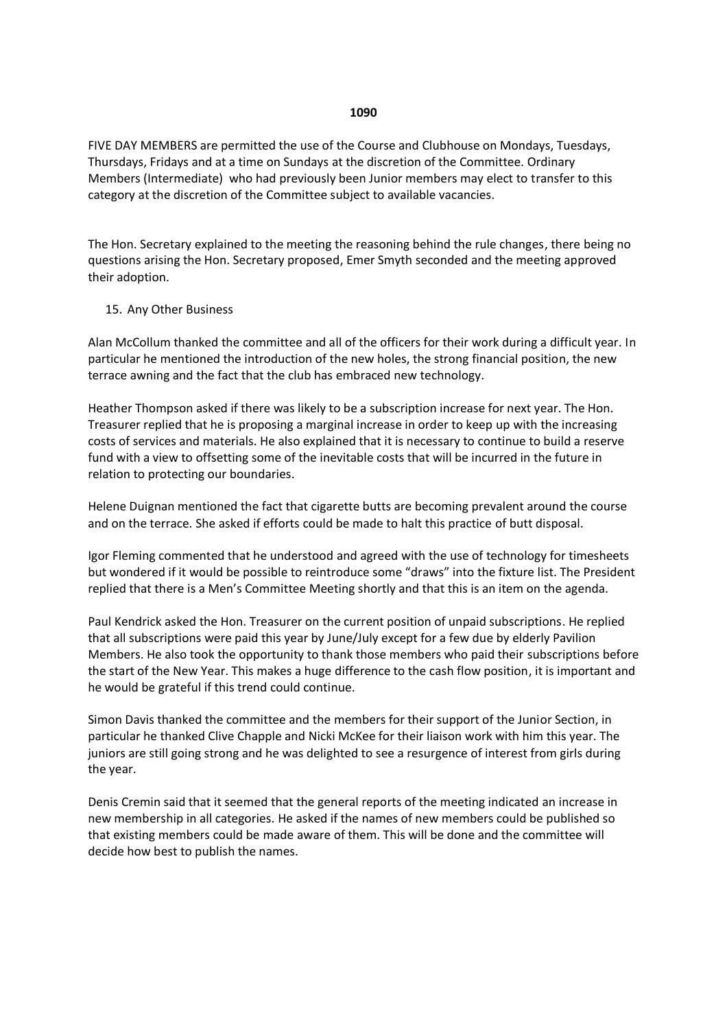FIVE DAY MEMBERS are permitted the use of the Course and Clubhouse on Mondays, Tuesdays, Thursdays, Fridays and at a time on Sundays at the discretion of the Committee. Ordinary Members (Intermediate) who had previously been Junior members may elect to transfer to this category at the discretion of the Committee subject to available vacancies.

The Hon. Secretary explained to the meeting the reasoning behind the rule changes, there being no questions arising the Hon. Secretary proposed, Emer Smyth seconded and the meeting approved their adoption.

### 15. Any Other Business

Alan McCollum thanked the committee and all of the officers for their work during a difficult year. In particular he mentioned the introduction of the new holes, the strong financial position, the new terrace awning and the fact that the club has embraced new technology.

Heather Thompson asked if there was likely to be a subscription increase for next year. The Hon. Treasurer replied that he is proposing a marginal increase in order to keep up with the increasing costs of services and materials. He also explained that it is necessary to continue to build a reserve fund with a view to offsetting some of the inevitable costs that will be incurred in the future in relation to protecting our boundaries.

Helene Duignan mentioned the fact that cigarette butts are becoming prevalent around the course and on the terrace. She asked if efforts could be made to halt this practice of butt disposal.

Igor Fleming commented that he understood and agreed with the use of technology for timesheets but wondered if it would be possible to reintroduce some "draws" into the fixture list. The President replied that there is a Men's Committee Meeting shortly and that this is an item on the agenda.

Paul Kendrick asked the Hon. Treasurer on the current position of unpaid subscriptions. He replied that all subscriptions were paid this year by June/July except for a few due by elderly Pavilion Members. He also took the opportunity to thank those members who paid their subscriptions before the start of the New Year. This makes a huge difference to the cash flow position, it is important and he would be grateful if this trend could continue.

Simon Davis thanked the committee and the members for their support of the Junior Section, in particular he thanked Clive Chapple and Nicki McKee for their liaison work with him this year. The juniors are still going strong and he was delighted to see a resurgence of interest from girls during the year.

Denis Cremin said that it seemed that the general reports of the meeting indicated an increase in new membership in all categories. He asked if the names of new members could be published so that existing members could be made aware of them. This will be done and the committee will decide how best to publish the names.